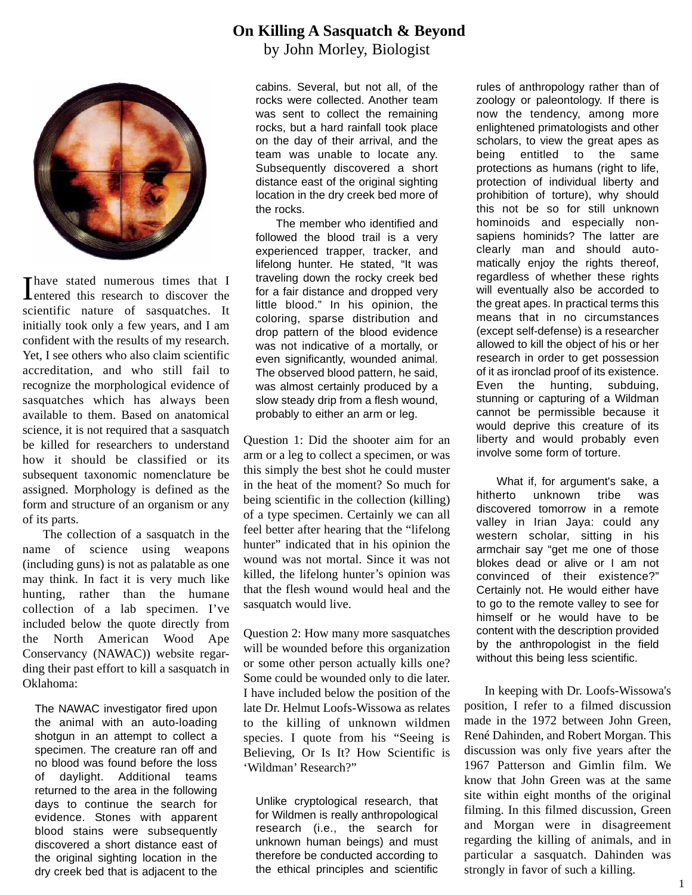

Thave stated numerous times that I<br>Tentered this research to discover the entered this research to discover the scientific nature of sasquatches. It initially took only a few years, and I am confident with the results of my research. Yet, I see others who also claim scientific accreditation, and who still fail to recognize the morphological evidence of sasquatches which has always been available to them. Based on anatomical science, it is not required that a sasquatch be killed for researchers to understand how it should be classified or its subsequent taxonomic nomenclature be assigned. Morphology is defined as the form and structure of an organism or any of its parts.

The collection of a sasquatch in the name of science using weapons (including guns) is not as palatable as one may think. In fact it is very much like hunting, rather than the humane collection of a lab specimen. I've included below the quote directly from the North American Wood Ape Conservancy (NAWAC)) website regarding their past effort to kill a sasquatch in Oklahoma:

The NAWAC investigator fired upon the animal with an auto-loading shotgun in an attempt to collect a specimen. The creature ran off and no blood was found before the loss of daylight. Additional teams returned to the area in the following days to continue the search for evidence. Stones with apparent blood stains were subsequently discovered a short distance east of the original sighting location in the dry creek bed that is adjacent to the

## **On Killing A Sasquatch & Beyond**

by John Morley, Biologist

cabins. Several, but not all, of the rocks were collected. Another team was sent to collect the remaining rocks, but a hard rainfall took place on the day of their arrival, and the team was unable to locate any. Subsequently discovered a short distance east of the original sighting location in the dry creek bed more of the rocks.

The member who identified and followed the blood trail is a very experienced trapper, tracker, and lifelong hunter. He stated, "It was traveling down the rocky creek bed for a fair distance and dropped very little blood." In his opinion, the coloring, sparse distribution and drop pattern of the blood evidence was not indicative of a mortally, or even significantly, wounded animal. The observed blood pattern, he said, was almost certainly produced by a slow steady drip from a flesh wound, probably to either an arm or leg.

Question 1: Did the shooter aim for an arm or a leg to collect a specimen, or was this simply the best shot he could muster in the heat of the moment? So much for being scientific in the collection (killing) of a type specimen. Certainly we can all feel better after hearing that the "lifelong hunter" indicated that in his opinion the wound was not mortal. Since it was not killed, the lifelong hunter's opinion was that the flesh wound would heal and the sasquatch would live.

Question 2: How many more sasquatches will be wounded before this organization or some other person actually kills one? Some could be wounded only to die later. I have included below the position of the late Dr. Helmut Loofs-Wissowa as relates to the killing of unknown wildmen species. I quote from his "Seeing is Believing, Or Is It? How Scientific is 'Wildman' Research?"

Unlike cryptological research, that for Wildmen is really anthropological research (i.e., the search for unknown human beings) and must therefore be conducted according to the ethical principles and scientific

rules of anthropology rather than of zoology or paleontology. If there is now the tendency, among more enlightened primatologists and other scholars, to view the great apes as being entitled to the same protections as humans (right to life, protection of individual liberty and prohibition of torture), why should this not be so for still unknown hominoids and especially nonsapiens hominids? The latter are clearly man and should automatically enjoy the rights thereof, regardless of whether these rights will eventually also be accorded to the great apes. In practical terms this means that in no circumstances (except self-defense) is a researcher allowed to kill the object of his or her research in order to get possession of it as ironclad proof of its existence. Even the hunting, subduing, stunning or capturing of a Wildman cannot be permissible because it would deprive this creature of its liberty and would probably even involve some form of torture.

What if, for argument's sake, a hitherto unknown tribe was discovered tomorrow in a remote valley in Irian Jaya: could any western scholar, sitting in his armchair say "get me one of those blokes dead or alive or I am not convinced of their existence?" Certainly not. He would either have to go to the remote valley to see for himself or he would have to be content with the description provided by the anthropologist in the field without this being less scientific.

In keeping with Dr. Loofs-Wissowa's position, I refer to a filmed discussion made in the 1972 between John Green, René Dahinden, and Robert Morgan. This discussion was only five years after the 1967 Patterson and Gimlin film. We know that John Green was at the same site within eight months of the original filming. In this filmed discussion, Green and Morgan were in disagreement regarding the killing of animals, and in particular a sasquatch. Dahinden was strongly in favor of such a killing.